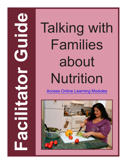**Families<br>
ADDE Talking with<br>
Families<br>
Access Online Learning Modules<br>
The Learning Modules<br>
The Learning Modules<br>
The Learning Modules<br>
The Learning Modules<br>
The Learning Modules<br>
The Learning Modules<br>
The Learning Modul** Families about Nutrition

[Access Online Learning Modules](https://www.easternct.edu/center-for-early-childhood-education/online-learning-modules.html)

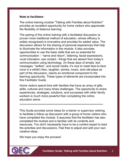#### **Note to facilitator**:

The online training module "Talking with Families about Nutrition" provides an excellent opportunity for home visitors who appreciate the flexibility of distance learning.

The pairing of the online training with a facilitated discussion (a proven more traditional method of education, whose efficacy is widely recognized) is innovative and provides for added value. The discussion allows for the sharing of personal experiences that help to illuminate the information in the module. It also provides opportunities to use the basic skills that are so essential for communication – "serve and return", listening, facial expressions, vocal intonation, eye contact - things that are absent from today's communication using technology. (In these days of emails, text messages, "selfies", and social media, it's nice to meet face-to-face once in a while!) Also, laughter, stories, music, and role-plays as part of the discussion, injects an emotional component to the learning opportunity. These types of elements are incorporated into this Facilitator Guide.

Home visitors spend time with families that have an array of gifts, skills, cultures and many times challenges. The opportunity to share experiences, strategies, solutions, and successes with other family workers is much more powerful than completing the online education alone.

#### \*\*\*\*\*\*\*\*\*\*\*\*\*\*\*\*\*\*\*\*\*\*\*\*\*\*\*\*\*\*\*\*\*\*\*\*\*\*\*\*\*\*\*\*\*\*\*\*\*\*\*\*\*\*\*\*\*\*\*\*\*\*\*\*\*\*\*\*\*\*\*\*\*\*

This Guide provides some ideas for a trainer or supervisor wishing to facilitate a follow-up discussion with a group of home visitors who have completed the module. It assumes that the facilitator has also completed the module and is familiar with its contents and resources. You don't necessarily have to be a content expert to lead the activities and discussions. Feel free to adjust and add your own creative ideas.

We hope you enjoy the process!

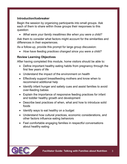#### **Introduction/Icebreaker**

Begin the session by organizing participants into small groups. Ask each of them to share within those groups their responses to this question:

• *What were your family mealtimes like when you were a child?*

Ask them to consider what factors might account for the similarities and differences in their experiences.

As a follow-up, provide this prompt for large group discussion:

• *How have feeding practices changed since you were a child?*

#### **Review Learning Objectives**

After having completed this module, home visitors should be able to:

- Define important healthy eating habits from pregnancy through the first few years of life
- Understand the impact of the environment on health
- Effectively support breastfeeding mothers and know when to recommend additional help
- Identify infant hunger and satiety cues and assist families to avoid over-feeding babies
- Explain the importance of responsive feeding practices for infant and toddler healthy growth and development
- Describe best practices of when, what and how to introduce solid foods
- Identify ways to eat healthy on a budget
- Understand how cultural practices, economic considerations, and other factors influence eating behaviors
- Feel comfortable engaging families in respectful conversations about healthy eating

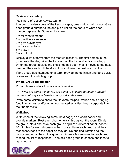#### **Review Vocabulary**

#### "Roll the Die" Vocab Review Game

In order to review some of the key concepts, break into small groups. Give each group a number cube and put a list on the board of what each number represents. Some options are:

- $1 =$  tell what it means
- $2 =$  use it in a sentence
- $3 =$  give a synonym
- $4 =$  give an antonym
- $5 =$  draw it
- $6$  = act it out

Display a list of terms from the module glossary. The first person in the group rolls the die, takes the top word on the list, and acts accordingly. When the group decides the challenge has been met, it moves to the next person. They each roll the die in turn and take the next word on the list…

If any group gets stumped on a term, provide the definition and do a quick review with the whole group.

## **Whole Group Discussion**

Prompt home visitors to share what's working:

- *What are some things you are doing to encourage healthy eating?*
- *In what ways are families doing well in this area?*

Invite home visitors to share their favorite recipes, stories about bringing food into homes, and/or other food related activities they incorporate into their home visits.

## **Walkabout**

Write each of the following items (next page) on a chart paper and provide markers. Post each chart on walls throughout the room. Divide the group into 4 and have each group begin at a different paper. Allow 5 – 10 minutes for each discussion then rotate. Have each group add their responses/ideas to the paper as they go. Do one final rotation so the groups end up at their initial question. Allow a few minutes for each group to read the list of responses. Then ask each group to choose one idea to report out on.

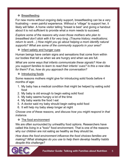## ❖ Breastfeeding

For new moms without ongoing daily support, breastfeeding can be a very frustrating – even painful experience. Without a "village" to support her, it likely will falter. A home visitor telling "breast is best" and giving a handout about it is not sufficient to provide what a mom needs to succeed.

*Explore some of the reasons why even those mothers who plan to breastfeed don't stick with it for very long. (Trauma history; medications; return to work…) How might you go about helping a mom identify natural supports? What are some of the community supports in your area?* 

## $\div$  Infant satiety and hunger cues

Human beings have certain signs and sensations that come from within our bodies that tell us when we are hungry and when we are full.

*What are some ways that infants communicate these signals? How do you support families to learn to read their infants' cues? Is this a new idea for them? If so, how do you approach the conversation?*

## $\div$  Introducing foods

Some reasons mothers might give for introducing solid foods before 4 months of age:

- 1. My baby has a medical condition that might be helped by eating solid food
- 2. My baby is old enough to begin eating solid food
- 3. My baby seems hungry a lot of the time
- 4. My baby wants the food I eat
- 5. A doctor said my baby should begin eating solid food
- 6. It will help my baby sleep longer at night

*Choose one of these reasons, and discuss how you might respond in that instance.* 

## **❖** The food environment

We are often surrounded by unhealthy food options. Researchers have called this living in a "toxic" food environment. That is one of the reasons why our children are not eating as healthy as they should be.

*How does the food environment influence the food choices families are making? What strategies do you use to help them develop healthy habits despite this challenge?*

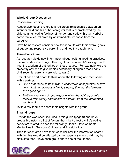#### **Whole Group Discussion**

## Responsive Feeding

Responsive feeding refers to a reciprocal relationship between an infant or child and his or her caregiver that is characterized by the child communicating feelings of hunger and satiety through verbal or nonverbal cues, followed by an immediate response from the caregiver.

Have home visitors consider how this idea fits with their overall goals of supporting responsive parenting and healthy attachment.

## **Think-Pair-Share**

As research yields new information about healthful feeding practices, recommendations change. This might impact a family's willingness to trust the wisdom of authorities on these issues. (For example, we are presently advised to give babies potentially allergenic foods early. Until recently, parents were told to wait.)

Prompt each participant to think about the following and then share with a partner:

- *Given that these shifts in what's considered best practice occurs, how might you address a family's perception that the "experts can't get it right"?*
- *Furthermore, How do you respond when the advice parents receive from family and friends is different from the information you bring?*

Invite a few teams to share their insights with the group.

## **Small Groups**

Provide the worksheet included in this guide (page 9) and have groups brainstorm a list of factors that might affect a child's eating behaviors related to each the following: Health, Developmental, Mental Health, Sensory, Cultural, and Physiological.

Then for each area have them consider how the information shared with families would be affected by the reason(s) why a child may be difficult to feed. Have each group share one of their ideas.

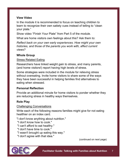#### **View Video**

In the module it is recommended to focus on teaching children to learn to recognize their own satiety cues instead of telling to "clean your plate."

Show video "Finish Your Plate" from Part 5 of the module.

What are home visitors own feelings about this? Ask them to:

*Reflect back on your own early experiences. How might your own histories, and those of the parents you work with, affect current views?* 

## **Whole Group**

Stress Related Eating

Researchers have linked weight gain to stress, and many parents, (and home visitors!) report having high levels of stress.

Some strategies were included in the module for relieving stress without overeating. Invite home visitors to share some of the ways they have been successful in helping families find alternatives to eating when stressed.

## **Personal Reflection**

Provide an additional minute for home visitors to ponder whether they are reducing stress in healthy ways themselves.

## **Role Play**

Challenging Conversations

Write each of the following reasons families might give for not eating healthier on an index card.

"I don't know anything about nutrition."

- "I don't know how to cook."
- "I can't afford to eat healthy."
- "I don't have time to cook."
- "I wasn't brought up eating this way."
- "I don't agree with that idea."

(continued on next page)

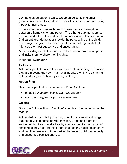Lay the 6 cards out on a table. Group participants into small groups. Invite each to send oe member to choose a card and bring it back to their group.

Invite 2 members from each group to role play a conversation between a home visitor and parent. The other group members can observe and take notes and/or take on additional roles, such as a 2nd parent, grandparent, or provide the perspective of the child. Encourage the groups to come up with some talking points that might be the most supportive and encouraging.

After providing ample time for this activity, debrief with each group and invite them to share their insights.

#### **Individual Reflection**

#### Self-Care

Ask participants to take a few quiet moments reflecting on how well they are meeting their own nutritional needs, then invite a sharing of their strategies for healthy eating on the go.

#### **Action Plan**

Have participants develop an Action Plan. Ask them:

- *What 3 things from this session will you try?*
- *Also, set one goal for your own self-care.*

## **Closing**

Show the "Introduction to Nutrition" video from the beginning of the module.

Acknowledge that this topic is only one of many important things that home visitors focus on with families. Commend them for supporting families to make healthy choices despite the myriad of challenges they face. Remind them that healthy habits begin early and that they are in a unique position to prevent childhood obesity and encourage positive change.

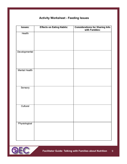# **Activity Worksheet - Feeding Issues**

| Issues:              | <b>Effects on Eating Habits:</b> | <b>Considerations for Sharing Info</b><br>with Families: |
|----------------------|----------------------------------|----------------------------------------------------------|
| Health               |                                  |                                                          |
| Developmental        |                                  |                                                          |
| <b>Mental Health</b> |                                  |                                                          |
| Sensory              |                                  |                                                          |
| Cultural             |                                  |                                                          |
| Physiological        |                                  |                                                          |